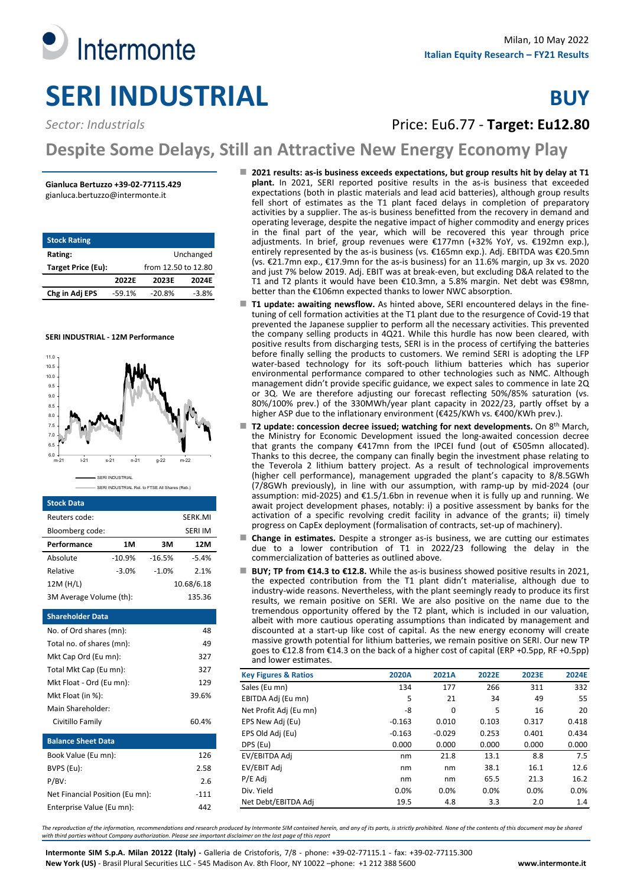

# **Sector: Industrials Price: Eu6.77 - Target: Eu12.80**

# **Despite Some Delays, Still an Attractive New Energy Economy Play**

### **Gianluca Bertuzzo +39-02-77115.429**

gianluca.bertuzzo@intermonte.it

| <b>Stock Rating</b> |          |                     |           |
|---------------------|----------|---------------------|-----------|
| Rating:             |          |                     | Unchanged |
| Target Price (Eu):  |          | from 14.30 to 12.80 |           |
|                     | 2022F    | 2023F               | 2024E     |
| Chg in Adj EPS      | $-59.1%$ | $-20.8%$            | $-3.8%$   |





SERI INDUSTRIAL Rel. to FTSE All Shares (Reb.)

#### **Stock Data**

| Reuters code:                   |          |          | SERK.MI        |  |  |  |  |
|---------------------------------|----------|----------|----------------|--|--|--|--|
| Bloomberg code:                 |          |          | <b>SERI IM</b> |  |  |  |  |
| Performance                     | 1M       | 3M       | 12M            |  |  |  |  |
| Absolute                        | $-10.9%$ | $-16.5%$ | $-5.4%$        |  |  |  |  |
| Relative                        | $-3.0%$  | $-1.0%$  | 2.1%           |  |  |  |  |
| 12M (H/L)                       |          |          | 10.68/6.18     |  |  |  |  |
| 3M Average Volume (th):         |          |          | 135.36         |  |  |  |  |
| <b>Shareholder Data</b>         |          |          |                |  |  |  |  |
| No. of Ord shares (mn):         |          |          | 48             |  |  |  |  |
| Total no. of shares (mn):<br>49 |          |          |                |  |  |  |  |
| Mkt Cap Ord (Eu mn):<br>327     |          |          |                |  |  |  |  |
| Total Mkt Cap (Eu mn):          |          |          | 327            |  |  |  |  |
| Mkt Float - Ord (Eu mn):        |          |          | 129            |  |  |  |  |
| Mkt Float (in %):               |          |          | 39.6%          |  |  |  |  |
| Main Shareholder:               |          |          |                |  |  |  |  |
| Civitillo Family                |          |          | 60.4%          |  |  |  |  |
| <b>Balance Sheet Data</b>       |          |          |                |  |  |  |  |
| Book Value (Eu mn):             |          |          | 126            |  |  |  |  |
| BVPS (Eu):                      |          |          | 2.58           |  |  |  |  |
| P/BV:                           |          |          | 2.6            |  |  |  |  |
| Net Financial Position (Eu mn): |          |          | $-111$         |  |  |  |  |
| Enterprise Value (Eu mn):       |          |          | 442            |  |  |  |  |

| ■ 2021 results: as-is business exceeds expectations, but group results hit by delay at T1 |
|-------------------------------------------------------------------------------------------|
| plant. In 2021, SERI reported positive results in the as-is business that exceeded        |
| expectations (both in plastic materials and lead acid batteries), although group results  |
| fell short of estimates as the T1 plant faced delays in completion of preparatory         |
| activities by a supplier. The as-is business benefitted from the recovery in demand and   |
| operating leverage, despite the negative impact of higher commodity and energy prices     |
| in the final part of the year, which will be recovered this year through price            |
| adjustments. In brief, group revenues were €177mn (+32% YoY, vs. €192mn exp.),            |
| entirely represented by the as-is business (vs. €165mn exp.). Adj. EBITDA was €20.5mn     |
| (vs. €21.7mn exp., €17.9mn for the as-is business) for an 11.6% margin, up 3x vs. 2020    |
| and just 7% below 2019. Adj. EBIT was at break-even, but excluding D&A related to the     |
| T1 and T2 plants it would have been €10.3mn, a 5.8% margin. Net debt was €98mn,           |
| better than the €106mn expected thanks to lower NWC absorption.                           |

- **T1 update: awaiting newsflow.** As hinted above, SERI encountered delays in the finetuning of cell formation activities at the T1 plant due to the resurgence of Covid-19 that prevented the Japanese supplier to perform all the necessary activities. This prevented the company selling products in 4Q21. While this hurdle has now been cleared, with positive results from discharging tests, SERI is in the process of certifying the batteries before finally selling the products to customers. We remind SERI is adopting the LFP water-based technology for its soft-pouch lithium batteries which has superior environmental performance compared to other technologies such as NMC. Although management didn't provide specific guidance, we expect sales to commence in late 2Q or 3Q. We are therefore adjusting our forecast reflecting 50%/85% saturation (vs. 80%/100% prev.) of the 330MWh/year plant capacity in 2022/23, partly offset by a higher ASP due to the inflationary environment (€425/KWh vs. €400/KWh prev.).
- **T2 update: concession decree issued; watching for next developments.** On 8th March, the Ministry for Economic Development issued the long-awaited concession decree that grants the company €417mn from the IPCEI fund (out of €505mn allocated). Thanks to this decree, the company can finally begin the investment phase relating to the Teverola 2 lithium battery project. As a result of technological improvements (higher cell performance), management upgraded the plant's capacity to 8/8.5GWh (7/8GWh previously), in line with our assumption, with ramp-up by mid-2024 (our assumption: mid-2025) and €1.5/1.6bn in revenue when it is fully up and running. We await project development phases, notably: i) a positive assessment by banks for the activation of a specific revolving credit facility in advance of the grants; ii) timely progress on CapEx deployment (formalisation of contracts, set-up of machinery).
- **Change in estimates.** Despite a stronger as-is business, we are cutting our estimates due to a lower contribution of T1 in 2022/23 following the delay in the commercialization of batteries as outlined above.
- BUY; TP from €14.3 to €12.8. While the as-is business showed positive results in 2021, the expected contribution from the T1 plant didn't materialise, although due to industry-wide reasons. Nevertheless, with the plant seemingly ready to produce its first results, we remain positive on SERI. We are also positive on the name due to the tremendous opportunity offered by the T2 plant, which is included in our valuation, albeit with more cautious operating assumptions than indicated by management and discounted at a start-up like cost of capital. As the new energy economy will create massive growth potential for lithium batteries, we remain positive on SERI. Our new TP goes to €12.8 from €14.3 on the back of a higher cost of capital (ERP +0.5pp, RF +0.5pp) and lower estimates.

| <b>Key Figures &amp; Ratios</b> | 2020A    | 2021A    | 2022E | 2023E | 2024E |
|---------------------------------|----------|----------|-------|-------|-------|
| Sales (Eu mn)                   | 134      | 177      | 266   | 311   | 332   |
| EBITDA Adj (Eu mn)              | 5        | 21       | 34    | 49    | 55    |
| Net Profit Adj (Eu mn)          | -8       | 0        | 5     | 16    | 20    |
| EPS New Adj (Eu)                | $-0.163$ | 0.010    | 0.103 | 0.317 | 0.418 |
| EPS Old Adj (Eu)                | $-0.163$ | $-0.029$ | 0.253 | 0.401 | 0.434 |
| DPS (Eu)                        | 0.000    | 0.000    | 0.000 | 0.000 | 0.000 |
| EV/EBITDA Adj                   | nm       | 21.8     | 13.1  | 8.8   | 7.5   |
| EV/EBIT Adj                     | nm       | nm       | 38.1  | 16.1  | 12.6  |
| P/E Adj                         | nm       | nm       | 65.5  | 21.3  | 16.2  |
| Div. Yield                      | 0.0%     | 0.0%     | 0.0%  | 0.0%  | 0.0%  |
| Net Debt/EBITDA Adj             | 19.5     | 4.8      | 3.3   | 2.0   | 1.4   |

*The reproduction of the information, recommendations and research produced by Intermonte SIM contained herein, and any of its parts, is strictly prohibited. None of the contents of this document may be shared with third parties without Company authorization. Please see important disclaimer on the last page of this report*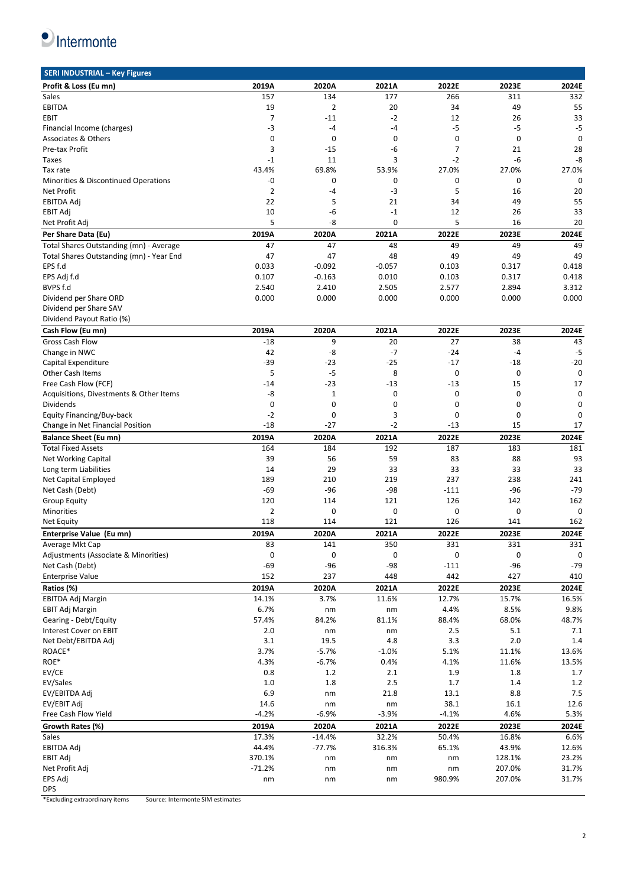$\bullet$  Intermonte

| Profit & Loss (Eu mn)                    | 2019A          | 2020A       | 2021A    | 2022E        | 2023E            | 2024E          |
|------------------------------------------|----------------|-------------|----------|--------------|------------------|----------------|
| Sales                                    | 157            | 134         | 177      | 266          | 311              | 332            |
| <b>EBITDA</b>                            | 19             | 2           | 20       | 34           | 49               | 55             |
| EBIT                                     | $\overline{7}$ | $-11$       | $-2$     | 12           | 26               | 33             |
| Financial Income (charges)               | -3             | $-4$        | -4       | $-5$         | $-5$             | $-5$           |
|                                          |                |             |          |              |                  |                |
| Associates & Others                      | $\mathbf 0$    | 0           | 0        | 0            | 0                | 0              |
| Pre-tax Profit                           | 3              | $-15$       | -6       | 7            | 21               | 28             |
| Taxes                                    | $-1$           | 11          | 3        | $-2$         | -6               | -8             |
| Tax rate                                 | 43.4%          | 69.8%       | 53.9%    | 27.0%        | 27.0%            | 27.0%          |
| Minorities & Discontinued Operations     | -0             | 0           | 0        | 0            | $\mathbf{0}$     | $\mathbf{0}$   |
| Net Profit                               | $\overline{2}$ | -4          | -3       | 5            | 16               | 20             |
| <b>EBITDA Adj</b>                        | 22             | 5           | 21       | 34           | 49               | 55             |
| <b>EBIT Adj</b>                          | 10             | -6          | $-1$     | 12           | 26               | 33             |
| Net Profit Adj                           | 5              | -8          | 0        | 5            | 16               | 20             |
|                                          |                |             |          |              |                  |                |
| Per Share Data (Eu)                      | 2019A          | 2020A       | 2021A    | 2022E        | 2023E            | 2024E          |
| Total Shares Outstanding (mn) - Average  | 47             | 47          | 48       | 49           | 49               | 49             |
| Total Shares Outstanding (mn) - Year End | 47             | 47          | 48       | 49           | 49               | 49             |
| EPS f.d                                  | 0.033          | $-0.092$    | $-0.057$ | 0.103        | 0.317            | 0.418          |
| EPS Adj f.d                              | 0.107          | $-0.163$    | 0.010    | 0.103        | 0.317            | 0.418          |
| BVPS f.d                                 | 2.540          | 2.410       | 2.505    | 2.577        | 2.894            | 3.312          |
| Dividend per Share ORD                   | 0.000          | 0.000       | 0.000    | 0.000        | 0.000            | 0.000          |
| Dividend per Share SAV                   |                |             |          |              |                  |                |
| Dividend Payout Ratio (%)                |                |             |          |              |                  |                |
|                                          |                |             |          |              |                  |                |
| Cash Flow (Eu mn)                        | 2019A          | 2020A       | 2021A    | 2022E        | 2023E            | 2024E          |
| Gross Cash Flow                          | $-18$          | 9           | 20       | 27           | 38               | 43             |
| Change in NWC                            | 42             | -8          | $-7$     | $-24$        | $-4$             | $-5$           |
| Capital Expenditure                      | $-39$          | $-23$       | $-25$    | $-17$        | $-18$            | $-20$          |
| <b>Other Cash Items</b>                  | 5              | $-5$        | 8        | 0            | $\mathbf 0$      | $\mathbf 0$    |
| Free Cash Flow (FCF)                     | $-14$          | $-23$       | $-13$    | $-13$        | 15               | 17             |
| Acquisitions, Divestments & Other Items  | -8             | $\mathbf 1$ | 0        | 0            | $\mathbf 0$      | $\mathbf 0$    |
| Dividends                                | $\mathbf 0$    | 0           | 0        | 0            | $\mathbf 0$      | 0              |
|                                          | $-2$           | 0           | 3        | 0            | $\mathbf 0$      | 0              |
| Equity Financing/Buy-back                |                |             |          |              |                  |                |
|                                          |                |             |          |              |                  |                |
| Change in Net Financial Position         | $-18$          | $-27$       | $-2$     | $-13$        | 15               | 17             |
| <b>Balance Sheet (Eu mn)</b>             | 2019A          | 2020A       | 2021A    | 2022E        | 2023E            | 2024E          |
| <b>Total Fixed Assets</b>                | 164            | 184         | 192      | 187          | 183              | 181            |
| Net Working Capital                      | 39             | 56          | 59       | 83           | 88               | 93             |
| Long term Liabilities                    | 14             | 29          | 33       | 33           | 33               | 33             |
|                                          | 189            | 210         | 219      | 237          | 238              | 241            |
| Net Capital Employed                     |                |             |          |              |                  |                |
| Net Cash (Debt)                          | -69            | $-96$       | $-98$    | $-111$       | -96              | $-79$          |
| <b>Group Equity</b>                      | 120            | 114         | 121      | 126          | 142              | 162            |
| <b>Minorities</b>                        | $\overline{2}$ | 0           | 0        | 0            | 0                | $\mathbf 0$    |
| Net Equity                               | 118            | 114         | 121      | 126          | 141              | 162            |
| Enterprise Value (Eu mn)                 | 2019A          | 2020A       | 2021A    | 2022E        | 2023E            | 2024E          |
| Average Mkt Cap                          | 83             | 141         | 350      | 331          | 331              | 331            |
| Adjustments (Associate & Minorities)     | $\pmb{0}$      | $\pmb{0}$   | 0        | 0            | 0                | 0              |
|                                          |                |             |          |              |                  |                |
| Net Cash (Debt)                          | $-69$          | $-96$       | $-98$    | $-111$       | $-96$            | $-79$          |
| <b>Enterprise Value</b>                  | 152            | 237         | 448      | 442          | 427              | 410            |
| Ratios (%)                               | 2019A          | 2020A       | 2021A    | 2022E        | 2023E            | 2024E          |
| EBITDA Adj Margin                        | 14.1%          | 3.7%        | 11.6%    | 12.7%        | 15.7%            | 16.5%          |
| <b>EBIT Adj Margin</b>                   | 6.7%           | nm          | nm       | 4.4%         | 8.5%             | 9.8%           |
| Gearing - Debt/Equity                    | 57.4%          | 84.2%       | 81.1%    | 88.4%        | 68.0%            | 48.7%          |
| Interest Cover on EBIT                   | 2.0            | nm          | nm       | 2.5          | 5.1              | 7.1            |
| Net Debt/EBITDA Adj                      | 3.1            | 19.5        | 4.8      | 3.3          | 2.0              | 1.4            |
| ROACE*                                   | 3.7%           | $-5.7%$     | $-1.0%$  | 5.1%         | 11.1%            | 13.6%          |
|                                          |                |             |          |              |                  |                |
| ROE*                                     | 4.3%           | $-6.7%$     | 0.4%     | 4.1%         | 11.6%            | 13.5%          |
| EV/CE                                    | 0.8            | 1.2         | 2.1      | 1.9          | 1.8              | 1.7            |
| EV/Sales                                 | $1.0\,$        | $1.8\,$     | 2.5      | 1.7          | 1.4              | $1.2\,$        |
| EV/EBITDA Adj                            | 6.9            | nm          | 21.8     | 13.1         | 8.8              | $7.5\,$        |
| EV/EBIT Adj                              | 14.6           | nm          | nm       | 38.1         | 16.1             | 12.6           |
| Free Cash Flow Yield                     | $-4.2%$        | $-6.9%$     | $-3.9%$  | $-4.1%$      | 4.6%             | 5.3%           |
| Growth Rates (%)                         | 2019A          | 2020A       | 2021A    | 2022E        | 2023E            | 2024E          |
| Sales                                    | 17.3%          | $-14.4%$    | 32.2%    | 50.4%        | 16.8%            | 6.6%           |
| EBITDA Adj                               | 44.4%          | $-77.7%$    | 316.3%   | 65.1%        | 43.9%            | 12.6%          |
|                                          |                | nm          | nm       | nm           |                  |                |
| EBIT Adj                                 | 370.1%         |             |          |              | 128.1%           | 23.2%          |
| Net Profit Adj<br>EPS Adj                | $-71.2%$<br>nm | nm<br>nm    | nm<br>nm | nm<br>980.9% | 207.0%<br>207.0% | 31.7%<br>31.7% |

\*Excluding extraordinary items Source: Intermonte SIM estimates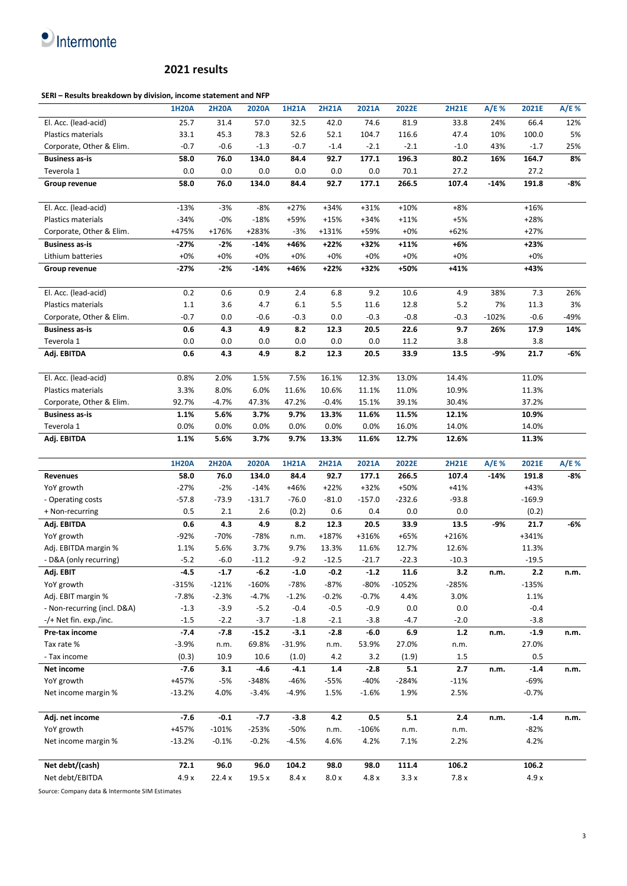# $\bullet$  Intermonte

#### **2021 results**

#### **SERI – Results breakdown by division, income statement and NFP**

|                             | <b>1H20A</b> | <b>2H20A</b> | 2020A    | <b>1H21A</b> | <b>2H21A</b> | 2021A    | 2022E    | <b>2H21E</b> | A/E %   | 2021E    | A/E%  |
|-----------------------------|--------------|--------------|----------|--------------|--------------|----------|----------|--------------|---------|----------|-------|
| El. Acc. (lead-acid)        | 25.7         | 31.4         | 57.0     | 32.5         | 42.0         | 74.6     | 81.9     | 33.8         | 24%     | 66.4     | 12%   |
| <b>Plastics materials</b>   | 33.1         | 45.3         | 78.3     | 52.6         | 52.1         | 104.7    | 116.6    | 47.4         | 10%     | 100.0    | 5%    |
| Corporate, Other & Elim.    | $-0.7$       | $-0.6$       | $-1.3$   | $-0.7$       | $-1.4$       | $-2.1$   | $-2.1$   | $-1.0$       | 43%     | $-1.7$   | 25%   |
| <b>Business as-is</b>       | 58.0         | 76.0         | 134.0    | 84.4         | 92.7         | 177.1    | 196.3    | 80.2         | 16%     | 164.7    | 8%    |
| Teverola 1                  | 0.0          | 0.0          | 0.0      | 0.0          | 0.0          | 0.0      | 70.1     | 27.2         |         | 27.2     |       |
| Group revenue               | 58.0         | 76.0         | 134.0    | 84.4         | 92.7         | 177.1    | 266.5    | 107.4        | $-14%$  | 191.8    | -8%   |
| El. Acc. (lead-acid)        | $-13%$       | $-3%$        | $-8%$    | $+27%$       | $+34%$       | $+31%$   | $+10%$   | $+8%$        |         | $+16%$   |       |
| <b>Plastics materials</b>   | $-34%$       | $-0%$        | $-18%$   | +59%         | $+15%$       | +34%     | $+11%$   | +5%          |         | $+28%$   |       |
| Corporate, Other & Elim.    | +475%        | +176%        | +283%    | $-3%$        | $+131%$      | +59%     | $+0\%$   | $+62%$       |         | $+27%$   |       |
| <b>Business as-is</b>       | $-27%$       | -2%          | $-14%$   | +46%         | +22%         | +32%     | $+11%$   | $+6%$        |         | $+23%$   |       |
| Lithium batteries           | $+0\%$       | $+0\%$       | $+0\%$   | $+0\%$       | $+0\%$       | $+0\%$   | $+0\%$   | $+0%$        |         | $+0%$    |       |
| Group revenue               | $-27%$       | $-2%$        | $-14%$   | +46%         | +22%         | +32%     | +50%     | +41%         |         | +43%     |       |
| El. Acc. (lead-acid)        | 0.2          | 0.6          | 0.9      | 2.4          | 6.8          | 9.2      | 10.6     | 4.9          | 38%     | 7.3      | 26%   |
| Plastics materials          | $1.1\,$      | 3.6          | 4.7      | 6.1          | 5.5          | 11.6     | 12.8     | 5.2          | 7%      | 11.3     | 3%    |
| Corporate, Other & Elim.    | $-0.7$       | 0.0          | $-0.6$   | $-0.3$       | 0.0          | $-0.3$   | $-0.8$   | $-0.3$       | $-102%$ | $-0.6$   | -49%  |
| <b>Business as-is</b>       | 0.6          | 4.3          | 4.9      | 8.2          | 12.3         | 20.5     | 22.6     | 9.7          | 26%     | 17.9     | 14%   |
| Teverola 1                  | 0.0          | 0.0          | 0.0      | 0.0          | 0.0          | 0.0      | 11.2     | 3.8          |         | 3.8      |       |
| Adj. EBITDA                 | 0.6          | 4.3          | 4.9      | 8.2          | 12.3         | 20.5     | 33.9     | 13.5         | -9%     | 21.7     | $-6%$ |
| El. Acc. (lead-acid)        | 0.8%         | 2.0%         | 1.5%     | 7.5%         | 16.1%        | 12.3%    | 13.0%    | 14.4%        |         | 11.0%    |       |
| Plastics materials          | 3.3%         | 8.0%         | 6.0%     | 11.6%        | 10.6%        | 11.1%    | 11.0%    | 10.9%        |         | 11.3%    |       |
| Corporate, Other & Elim.    | 92.7%        | $-4.7%$      | 47.3%    | 47.2%        | $-0.4%$      | 15.1%    | 39.1%    | 30.4%        |         | 37.2%    |       |
| <b>Business as-is</b>       | 1.1%         | 5.6%         | 3.7%     | 9.7%         | 13.3%        | 11.6%    | 11.5%    | 12.1%        |         | 10.9%    |       |
| Teverola 1                  | 0.0%         | 0.0%         | 0.0%     | 0.0%         | 0.0%         | 0.0%     | 16.0%    | 14.0%        |         | 14.0%    |       |
| Adj. EBITDA                 | 1.1%         | 5.6%         | 3.7%     | 9.7%         | 13.3%        | 11.6%    | 12.7%    | 12.6%        |         | 11.3%    |       |
|                             | <b>1H20A</b> | <b>2H20A</b> | 2020A    | <b>1H21A</b> | <b>2H21A</b> | 2021A    | 2022E    | <b>2H21E</b> | A/E %   | 2021E    | A/E % |
| Revenues                    | 58.0         | 76.0         | 134.0    | 84.4         | 92.7         | 177.1    | 266.5    | 107.4        | $-14%$  | 191.8    | -8%   |
| YoY growth                  | $-27%$       | $-2%$        | $-14%$   | $+46%$       | $+22%$       | $+32%$   | +50%     | $+41%$       |         | $+43%$   |       |
| - Operating costs           | $-57.8$      | $-73.9$      | $-131.7$ | $-76.0$      | $-81.0$      | $-157.0$ | $-232.6$ | $-93.8$      |         | $-169.9$ |       |
| + Non-recurring             | 0.5          | 2.1          | 2.6      | (0.2)        | 0.6          | 0.4      | 0.0      | 0.0          |         | (0.2)    |       |
| Adj. EBITDA                 | 0.6          | 4.3          | 4.9      | 8.2          | 12.3         | 20.5     | 33.9     | 13.5         | -9%     | 21.7     | $-6%$ |
| YoY growth                  | $-92%$       | -70%         | $-78%$   | n.m.         | $+187%$      | +316%    | +65%     | $+216%$      |         | +341%    |       |
| Adj. EBITDA margin %        | 1.1%         | 5.6%         | 3.7%     | 9.7%         | 13.3%        | 11.6%    | 12.7%    | 12.6%        |         | 11.3%    |       |
| - D&A (only recurring)      | $-5.2$       | $-6.0$       | $-11.2$  | $-9.2$       | $-12.5$      | $-21.7$  | $-22.3$  | $-10.3$      |         | $-19.5$  |       |
| Adj. EBIT                   |              |              |          |              |              |          |          |              |         |          |       |
| YoY growth                  | $-4.5$       | $-1.7$       | $-6.2$   | $-1.0$       | $-0.2$       | $-1.2$   | 11.6     | 3.2          | n.m.    | 2.2      | n.m.  |
|                             | $-315%$      | $-121%$      | $-160%$  | $-78%$       | $-87%$       | $-80%$   | $-1052%$ | $-285%$      |         | $-135%$  |       |
| Adj. EBIT margin %          | $-7.8%$      | $-2.3%$      | $-4.7%$  | $-1.2%$      | $-0.2%$      | $-0.7%$  | 4.4%     | 3.0%         |         | 1.1%     |       |
| - Non-recurring (incl. D&A) | $-1.3$       | $-3.9$       | $-5.2$   | $-0.4$       | $-0.5$       | $-0.9$   | 0.0      | $0.0\,$      |         | $-0.4$   |       |
| -/+ Net fin. exp./inc.      | $-1.5$       | $-2.2$       | $-3.7$   | $-1.8$       | $-2.1$       | $-3.8$   | $-4.7$   | $-2.0$       |         | $-3.8$   |       |
| Pre-tax income              | $-7.4$       | $-7.8$       | $-15.2$  | $-3.1$       | $-2.8$       | $-6.0$   | 6.9      | $1.2\,$      | n.m.    | $-1.9$   | n.m.  |
| Tax rate %                  | $-3.9%$      | n.m.         | 69.8%    | $-31.9%$     | n.m.         | 53.9%    | 27.0%    | n.m.         |         | 27.0%    |       |
| - Tax income                | (0.3)        | 10.9         | 10.6     | (1.0)        | 4.2          | 3.2      | (1.9)    | $1.5\,$      |         | 0.5      |       |
| Net income                  | $-7.6$       | 3.1          | $-4.6$   | $-4.1$       | $1.4\,$      | $-2.8$   | 5.1      | $2.7$        | n.m.    | $-1.4$   | n.m.  |
| YoY growth                  | +457%        | -5%          | $-348%$  | -46%         | $-55%$       | $-40%$   | $-284%$  | $-11%$       |         | $-69%$   |       |
| Net income margin %         | $-13.2%$     | 4.0%         | $-3.4%$  | -4.9%        | 1.5%         | $-1.6%$  | 1.9%     | 2.5%         |         | $-0.7%$  |       |
| Adj. net income             | $-7.6$       | $-0.1$       | $-7.7$   | $-3.8$       | 4.2          | 0.5      | 5.1      | $2.4$        | n.m.    | $-1.4$   | n.m.  |
| YoY growth                  | +457%        | $-101%$      | $-253%$  | $-50%$       | n.m.         | $-106%$  | n.m.     | n.m.         |         | $-82%$   |       |
| Net income margin %         | $-13.2%$     | $-0.1%$      | $-0.2%$  | $-4.5%$      | 4.6%         | 4.2%     | 7.1%     | 2.2%         |         | 4.2%     |       |
| Net debt/(cash)             | 72.1         | 96.0         | 96.0     | 104.2        | 98.0         | 98.0     | 111.4    | 106.2        |         | 106.2    |       |

Source: Company data & Intermonte SIM Estimates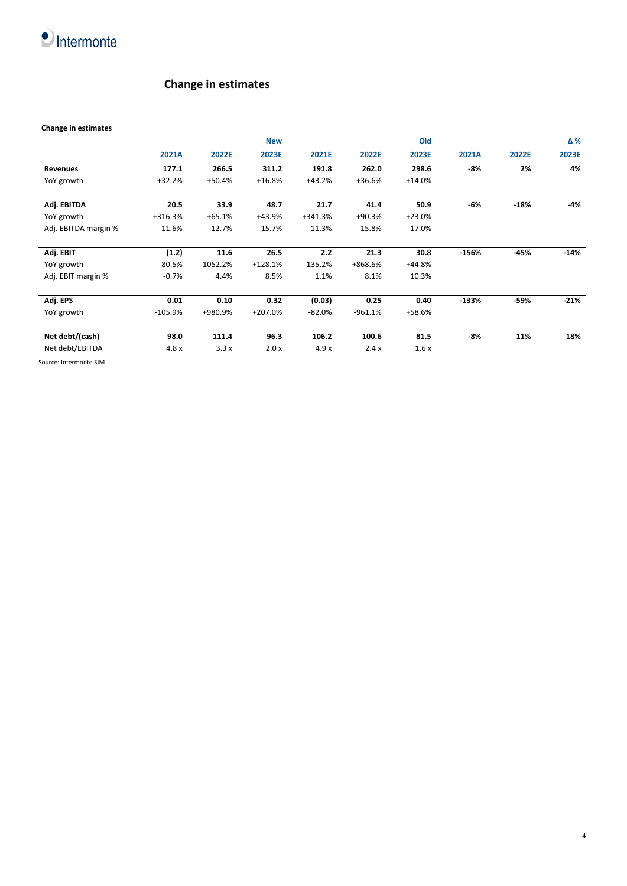

## **Change in estimates**

#### **Change in estimates**

|                      |           |            | <b>New</b> |           |           | Old      |         |        | Δ%     |
|----------------------|-----------|------------|------------|-----------|-----------|----------|---------|--------|--------|
|                      | 2021A     | 2022E      | 2023E      | 2021E     | 2022E     | 2023E    | 2021A   | 2022E  | 2023E  |
| Revenues             | 177.1     | 266.5      | 311.2      | 191.8     | 262.0     | 298.6    | -8%     | 2%     | 4%     |
| YoY growth           | $+32.2%$  | $+50.4%$   | $+16.8%$   | $+43.2%$  | $+36.6%$  | $+14.0%$ |         |        |        |
| Adj. EBITDA          | 20.5      | 33.9       | 48.7       | 21.7      | 41.4      | 50.9     | $-6%$   | $-18%$ | -4%    |
| YoY growth           | +316.3%   | $+65.1%$   | +43.9%     | $+341.3%$ | $+90.3%$  | $+23.0%$ |         |        |        |
| Adj. EBITDA margin % | 11.6%     | 12.7%      | 15.7%      | 11.3%     | 15.8%     | 17.0%    |         |        |        |
| Adj. EBIT            | (1.2)     | 11.6       | 26.5       | 2.2       | 21.3      | 30.8     | $-156%$ | -45%   | $-14%$ |
| YoY growth           | $-80.5%$  | $-1052.2%$ | $+128.1%$  | $-135.2%$ | +868.6%   | $+44.8%$ |         |        |        |
| Adj. EBIT margin %   | $-0.7%$   | 4.4%       | 8.5%       | 1.1%      | 8.1%      | 10.3%    |         |        |        |
| Adj. EPS             | 0.01      | 0.10       | 0.32       | (0.03)    | 0.25      | 0.40     | $-133%$ | -59%   | $-21%$ |
| YoY growth           | $-105.9%$ | +980.9%    | $+207.0%$  | $-82.0%$  | $-961.1%$ | +58.6%   |         |        |        |
| Net debt/(cash)      | 98.0      | 111.4      | 96.3       | 106.2     | 100.6     | 81.5     | -8%     | 11%    | 18%    |
| Net debt/EBITDA      | 4.8x      | 3.3x       | 2.0x       | 4.9x      | 2.4x      | 1.6x     |         |        |        |

4

Source: Intermonte SIM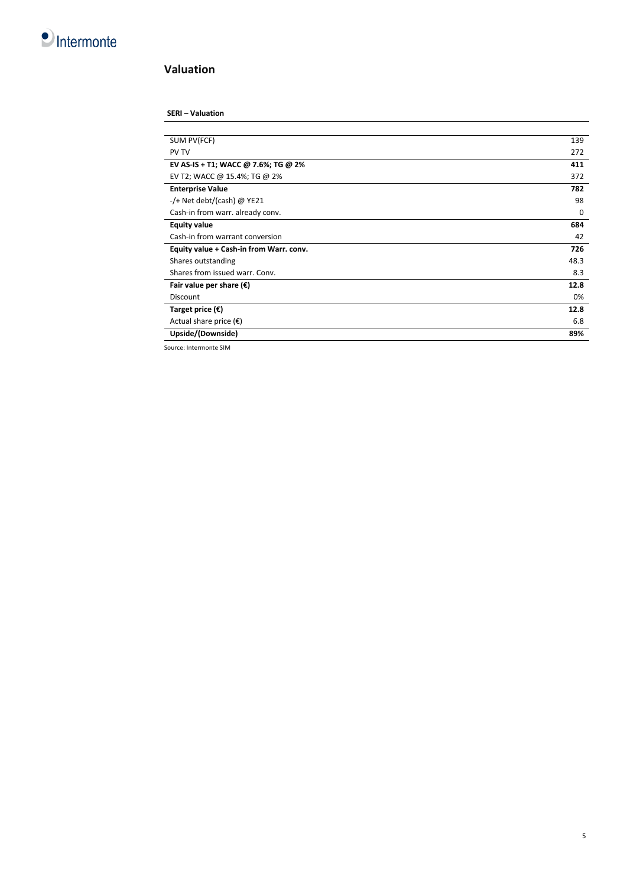

### **Valuation**

#### **SERI – Valuation**

| SUM PV(FCF)                             | 139  |
|-----------------------------------------|------|
| <b>PV TV</b>                            | 272  |
| EV AS-IS + T1; WACC @ 7.6%; TG @ 2%     | 411  |
| EV T2; WACC @ 15.4%; TG @ 2%            | 372  |
| <b>Enterprise Value</b>                 | 782  |
| -/+ Net debt/(cash) @ YE21              | 98   |
| Cash-in from warr. already conv.        | 0    |
| <b>Equity value</b>                     | 684  |
| Cash-in from warrant conversion         | 42   |
| Equity value + Cash-in from Warr. conv. | 726  |
| Shares outstanding                      | 48.3 |
| Shares from issued warr. Conv.          | 8.3  |
| Fair value per share $(\epsilon)$       | 12.8 |
| <b>Discount</b>                         | 0%   |
| Target price $(\epsilon)$               | 12.8 |
| Actual share price $(\epsilon)$         | 6.8  |
| Upside/(Downside)                       | 89%  |

Source: Intermonte SIM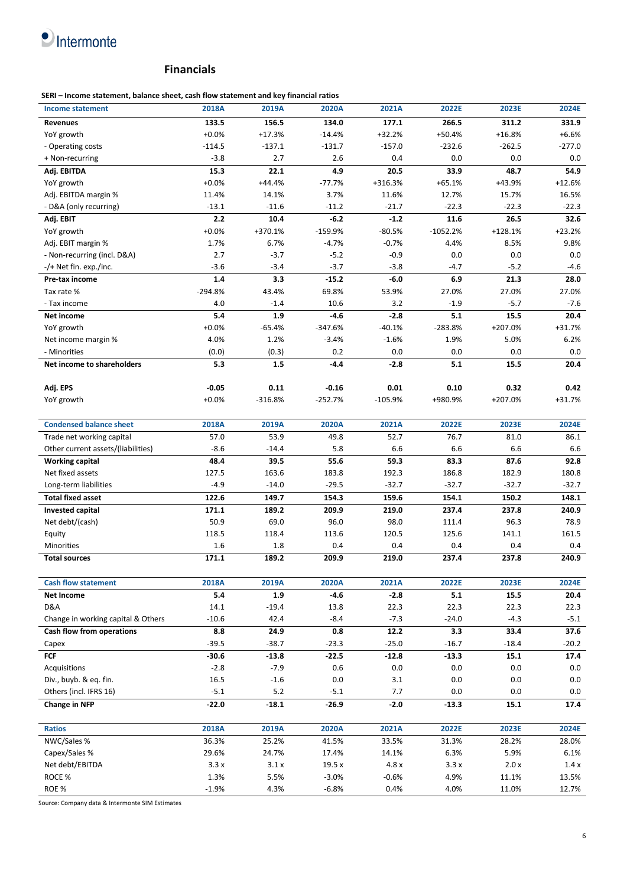# $\bullet$  Intermonte

#### **Financials**

**SERI – Income statement, balance sheet, cash flow statement and key financial ratios**

| <b>Income statement</b>                          | 2018A           | 2019A           | 2020A          | 2021A           | 2022E           | 2023E           | 2024E          |
|--------------------------------------------------|-----------------|-----------------|----------------|-----------------|-----------------|-----------------|----------------|
| <b>Revenues</b>                                  | 133.5           | 156.5           | 134.0          | 177.1           | 266.5           | 311.2           | 331.9          |
| YoY growth                                       | $+0.0%$         | $+17.3%$        | $-14.4%$       | $+32.2%$        | +50.4%          | $+16.8%$        | $+6.6%$        |
| - Operating costs                                | $-114.5$        | $-137.1$        | $-131.7$       | $-157.0$        | $-232.6$        | $-262.5$        | $-277.0$       |
| + Non-recurring                                  | $-3.8$          | 2.7             | 2.6            | 0.4             | 0.0             | 0.0             | 0.0            |
| Adj. EBITDA                                      | 15.3            | 22.1            | 4.9            | 20.5            | 33.9            | 48.7            | 54.9           |
| YoY growth                                       | $+0.0%$         | $+44.4%$        | $-77.7%$       | +316.3%         | $+65.1%$        | +43.9%          | $+12.6%$       |
| Adj. EBITDA margin %                             | 11.4%           | 14.1%           | 3.7%           | 11.6%           | 12.7%           | 15.7%           | 16.5%          |
| - D&A (only recurring)                           | $-13.1$         | $-11.6$         | $-11.2$        | $-21.7$         | $-22.3$         | $-22.3$         | $-22.3$        |
| Adj. EBIT                                        | 2.2             | 10.4            | $-6.2$         | $-1.2$          | $\bf 11.6$      | 26.5            | 32.6           |
| YoY growth                                       | $+0.0%$         | +370.1%         | $-159.9%$      | $-80.5%$        | $-1052.2%$      | $+128.1%$       | $+23.2%$       |
| Adj. EBIT margin %                               | 1.7%            | 6.7%            | $-4.7%$        | $-0.7%$         | 4.4%            | 8.5%            | 9.8%           |
| - Non-recurring (incl. D&A)                      | 2.7             | $-3.7$          | $-5.2$         | $-0.9$          | 0.0             | 0.0             | 0.0            |
| -/+ Net fin. exp./inc.                           | $-3.6$          | $-3.4$          | $-3.7$         | $-3.8$          | $-4.7$          | $-5.2$          | $-4.6$         |
| Pre-tax income                                   | 1.4             | 3.3             | $-15.2$        | $-6.0$          | 6.9             | 21.3            | 28.0           |
| Tax rate %                                       | $-294.8%$       | 43.4%           | 69.8%          | 53.9%           | 27.0%           | 27.0%           | 27.0%          |
| - Tax income                                     | 4.0             | $-1.4$          | 10.6           | 3.2             | $-1.9$          | $-5.7$          | $-7.6$         |
| Net income                                       | 5.4             | 1.9             | $-4.6$         | $-2.8$          | 5.1             | 15.5            | 20.4           |
| YoY growth                                       | $+0.0%$         | $-65.4%$        | $-347.6%$      | $-40.1%$        | $-283.8%$       | +207.0%         | $+31.7%$       |
| Net income margin %                              | 4.0%            | 1.2%            | $-3.4%$        | $-1.6%$         | 1.9%            | 5.0%            | 6.2%           |
| - Minorities                                     | (0.0)           | (0.3)           | 0.2            | 0.0             | 0.0             | 0.0             | 0.0            |
| Net income to shareholders                       | 5.3             | 1.5             | $-4.4$         | $-2.8$          | 5.1             | 15.5            | 20.4           |
|                                                  |                 |                 |                |                 |                 |                 |                |
| Adj. EPS                                         | $-0.05$         | 0.11            | $-0.16$        | 0.01            | 0.10            | 0.32            | 0.42           |
| YoY growth                                       | $+0.0%$         | $-316.8%$       | -252.7%        | $-105.9%$       | +980.9%         | +207.0%         | +31.7%         |
|                                                  |                 |                 |                |                 |                 |                 |                |
| <b>Condensed balance sheet</b>                   | 2018A           | 2019A           | 2020A          | 2021A           | 2022E           | 2023E           | 2024E          |
| Trade net working capital                        | 57.0            | 53.9            | 49.8           | 52.7            | 76.7            | 81.0            | 86.1           |
| Other current assets/(liabilities)               | $-8.6$          | $-14.4$         | 5.8            | 6.6             | 6.6             | 6.6             | 6.6            |
| <b>Working capital</b>                           | 48.4            | 39.5            | 55.6           | 59.3            | 83.3            | 87.6            | 92.8           |
| Net fixed assets                                 | 127.5           | 163.6           | 183.8          | 192.3           | 186.8           | 182.9           | 180.8          |
| Long-term liabilities                            | $-4.9$          | $-14.0$         | $-29.5$        | $-32.7$         | $-32.7$         | $-32.7$         | $-32.7$        |
| <b>Total fixed asset</b>                         | 122.6           | 149.7           | 154.3          | 159.6           | 154.1           | 150.2           | 148.1          |
| Invested capital                                 | 171.1           | 189.2           | 209.9          | 219.0           | 237.4           | 237.8           | 240.9          |
| Net debt/(cash)                                  | 50.9            | 69.0            | 96.0           | 98.0            | 111.4           | 96.3            | 78.9           |
| Equity                                           | 118.5           | 118.4           | 113.6          | 120.5           | 125.6           | 141.1           | 161.5          |
| Minorities                                       | 1.6             | 1.8             | 0.4            | 0.4             | 0.4             | 0.4             | 0.4            |
| <b>Total sources</b>                             | 171.1           | 189.2           | 209.9          | 219.0           | 237.4           | 237.8           | 240.9          |
| <b>Cash flow statement</b>                       |                 |                 |                |                 |                 | 2023E           |                |
|                                                  | 2018A           | 2019A           | 2020A          | 2021A           | 2022E           |                 | 2024E          |
| <b>Net Income</b><br>D&A                         | 5.4             | 1.9             | $-4.6$         | $-2.8$          | 5.1             | 15.5            | 20.4           |
| Change in working capital & Others               | 14.1<br>$-10.6$ | $-19.4$<br>42.4 | 13.8<br>$-8.4$ | 22.3<br>$-7.3$  | 22.3<br>$-24.0$ | 22.3<br>$-4.3$  | 22.3<br>$-5.1$ |
| Cash flow from operations                        |                 | 24.9            |                |                 |                 |                 | 37.6           |
|                                                  | 8.8<br>$-39.5$  | $-38.7$         | 0.8<br>$-23.3$ | 12.2<br>$-25.0$ | 3.3<br>$-16.7$  | 33.4<br>$-18.4$ | $-20.2$        |
| Capex<br><b>FCF</b>                              | $-30.6$         | $-13.8$         | $-22.5$        | $-12.8$         | $-13.3$         | 15.1            | 17.4           |
| Acquisitions                                     | $-2.8$          | $-7.9$          | $0.6\,$        | 0.0             | $0.0\,$         | 0.0             | $0.0\,$        |
|                                                  |                 |                 | 0.0            |                 |                 | 0.0             |                |
| Div., buyb. & eq. fin.<br>Others (incl. IFRS 16) | 16.5<br>$-5.1$  | $-1.6$<br>5.2   | $-5.1$         | $3.1\,$<br>7.7  | $0.0\,$<br>0.0  | 0.0             | $0.0\,$<br>0.0 |
| <b>Change in NFP</b>                             | $-22.0$         | $-18.1$         | $-26.9$        | $-2.0$          | -13.3           | 15.1            | 17.4           |
|                                                  |                 |                 |                |                 |                 |                 |                |
| <b>Ratios</b>                                    | 2018A           | 2019A           | 2020A          | 2021A           | 2022E           | 2023E           | 2024E          |
| NWC/Sales %                                      | 36.3%           | 25.2%           | 41.5%          | 33.5%           | 31.3%           | 28.2%           | 28.0%          |
| Capex/Sales %                                    | 29.6%           | 24.7%           | 17.4%          | 14.1%           | 6.3%            | 5.9%            | 6.1%           |
| Net debt/EBITDA                                  | 3.3x            | 3.1x            | 19.5 x         | 4.8 x           | 3.3x            | 2.0 x           | 1.4x           |
| ROCE %                                           | 1.3%            | 5.5%            | $-3.0%$        | $-0.6%$         | 4.9%            | 11.1%           | 13.5%          |
| ROE %                                            | $-1.9%$         | 4.3%            | $-6.8%$        | 0.4%            | 4.0%            | 11.0%           | 12.7%          |

Source: Company data & Intermonte SIM Estimates